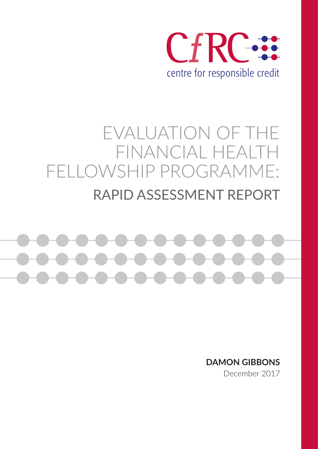

# EVALUATION OF THE FINANCIAL HEALTH FELLOWSHIP PROGRAMME: RAPID ASSESSMENT REPORT



**DAMON GIBBONS**

December 2017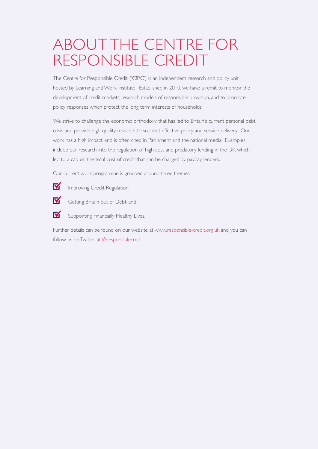# ABOUT THE CENTRE FOR RESPONSIBLE CREDIT

The Centre for Responsible Credit ('CfRC') is an independent research and policy unit hosted by Learning and Work Institute. Established in 2010, we have a remit to monitor the development of credit markets; research models of responsible provision, and to promote policy responses which protect the long term interests of households.

We strive to challenge the economic orthodoxy that has led to Britain's current personal debt crisis and provide high quality research to support effective policy and service delivery. Our work has a high impact, and is often cited in Parliament and the national media. Examples include our research into the regulation of high cost and predatory lending in the UK, which led to a cap on the total cost of credit that can be charged by payday lenders.

Our current work programme is grouped around three themes:

- M Improving Credit Regulation;
- M Getting Britain out of Debt; and
- M Supporting Financially Healthy Lives.

Further details can be found on our website at www.responsible-credit.org.uk and you can follow us on Twitter at @responsiblecred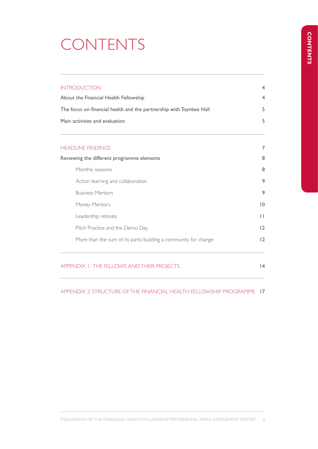# CONTENTS

| <b>INTRODUCTION</b>                                                                                                                            |                |  |                                            |   |
|------------------------------------------------------------------------------------------------------------------------------------------------|----------------|--|--------------------------------------------|---|
| About the Financial Health Fellowship<br>The focus on financial health and the partnership with Toynbee Hall<br>Main activities and evaluation |                |  |                                            |   |
|                                                                                                                                                |                |  | <b>HEADLINE FINDINGS</b>                   | 7 |
|                                                                                                                                                |                |  | Reviewing the different programme elements | 8 |
| Monthly sessions                                                                                                                               | 8              |  |                                            |   |
| Action learning and collaboration                                                                                                              | 9              |  |                                            |   |
| <b>Business Mentors</b>                                                                                                                        | 9              |  |                                            |   |
| Money Mentors                                                                                                                                  | $\overline{0}$ |  |                                            |   |
| Leadership retreats                                                                                                                            | $\mathbf{H}$   |  |                                            |   |
| Pitch Practice and the Demo Day                                                                                                                | 12             |  |                                            |   |
| More than the sum of its parts: building a community for change                                                                                | 12             |  |                                            |   |
|                                                                                                                                                |                |  |                                            |   |

APPENDIX 1: THE FELLOWS AND THEIR PROJECTS 14

APPENDIX 2: STRUCTURE OF THE FINANCIAL HEALTH FELLOWSHIP PROGRAMME 17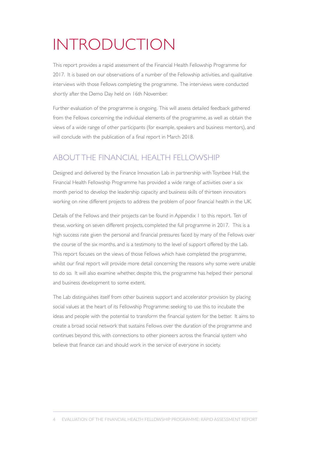# INTRODUCTION

This report provides a rapid assessment of the Financial Health Fellowship Programme for 2017. It is based on our observations of a number of the Fellowship activities, and qualitative interviews with those Fellows completing the programme. The interviews were conducted shortly after the Demo Day held on 16th November.

Further evaluation of the programme is ongoing. This will assess detailed feedback gathered from the Fellows concerning the individual elements of the programme, as well as obtain the views of a wide range of other participants (for example, speakers and business mentors), and will conclude with the publication of a final report in March 2018.

# ABOUT THE FINANCIAL HEALTH FELLOWSHIP

Designed and delivered by the Finance Innovation Lab in partnership with Toynbee Hall, the Financial Health Fellowship Programme has provided a wide range of activities over a six month period to develop the leadership capacity and business skills of thirteen innovators working on nine different projects to address the problem of poor financial health in the UK.

Details of the Fellows and their projects can be found in Appendix 1 to this report. Ten of these, working on seven different projects, completed the full programme in 2017. This is a high success rate given the personal and financial pressures faced by many of the Fellows over the course of the six months, and is a testimony to the level of support offered by the Lab. This report focuses on the views of those Fellows which have completed the programme, whilst our final report will provide more detail concerning the reasons why some were unable to do so. It will also examine whether, despite this, the programme has helped their personal and business development to some extent.

The Lab distinguishes itself from other business support and accelerator provision by placing social values at the heart of its Fellowship Programme: seeking to use this to incubate the ideas and people with the potential to transform the financial system for the better. It aims to create a broad social network that sustains Fellows over the duration of the programme and continues beyond this, with connections to other pioneers across the financial system who believe that finance can and should work in the service of everyone in society.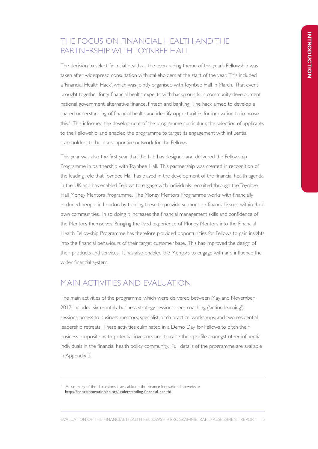# THE FOCUS ON FINANCIAL HEALTH AND THE PARTNERSHIP WITH TOYNBEE HALL

The decision to select financial health as the overarching theme of this year's Fellowship was taken after widespread consultation with stakeholders at the start of the year. This included a 'Financial Health Hack', which was jointly organised with Toynbee Hall in March. That event brought together forty financial health experts, with backgrounds in community development, national government, alternative finance, fintech and banking. The hack aimed to develop a shared understanding of financial health and identify opportunities for innovation to improve this.<sup>1</sup> This informed the development of the programme curriculum; the selection of applicants to the Fellowship; and enabled the programme to target its engagement with influential stakeholders to build a supportive network for the Fellows.

This year was also the first year that the Lab has designed and delivered the Fellowship Programme in partnership with Toynbee Hall. This partnership was created in recognition of the leading role that Toynbee Hall has played in the development of the financial health agenda in the UK and has enabled Fellows to engage with individuals recruited through the Toynbee Hall Money Mentors Programme. The Money Mentors Programme works with financially excluded people in London by training these to provide support on financial issues within their own communities. In so doing it increases the financial management skills and confidence of the Mentors themselves. Bringing the lived experience of Money Mentors into the Financial Health Fellowship Programme has therefore provided opportunities for Fellows to gain insights into the financial behaviours of their target customer base. This has improved the design of their products and services. It has also enabled the Mentors to engage with and influence the wider financial system.

# MAIN ACTIVITIES AND EVALUATION

The main activities of the programme, which were delivered between May and November 2017, included six monthly business strategy sessions, peer coaching ('action learning') sessions, access to business mentors, specialist 'pitch practice' workshops, and two residential leadership retreats. These activities culminated in a Demo Day for Fellows to pitch their business propositions to potential investors and to raise their profile amongst other influential individuals in the financial health policy community. Full details of the programme are available in Appendix 2.

<sup>1</sup> A summary of the discussions is available on the Finance Innovation Lab website http://financeinnovationlab.org/understanding-financial-health/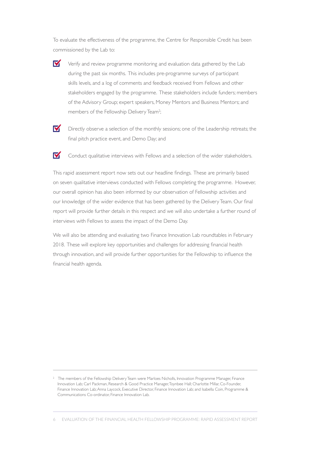To evaluate the effectiveness of the programme, the Centre for Responsible Credit has been commissioned by the Lab to:

- M Verify and review programme monitoring and evaluation data gathered by the Lab during the past six months. This includes pre-programme surveys of participant skills levels, and a log of comments and feedback received from Fellows and other stakeholders engaged by the programme. These stakeholders include funders; members of the Advisory Group; expert speakers, Money Mentors and Business Mentors; and members of the Fellowship Delivery Team<sup>2</sup>; ;
- M

Directly observe a selection of the monthly sessions; one of the Leadership retreats; the final pitch practice event, and Demo Day; and

M Conduct qualitative interviews with Fellows and a selection of the wider stakeholders.

This rapid assessment report now sets out our headline findings. These are primarily based on seven qualitative interviews conducted with Fellows completing the programme. However, our overall opinion has also been informed by our observation of Fellowship activities and our knowledge of the wider evidence that has been gathered by the Delivery Team. Our final report will provide further details in this respect and we will also undertake a further round of interviews with Fellows to assess the impact of the Demo Day.

We will also be attending and evaluating two Finance Innovation Lab roundtables in February 2018. These will explore key opportunities and challenges for addressing financial health through innovation, and will provide further opportunities for the Fellowship to influence the financial health agenda.

<sup>&</sup>lt;sup>2</sup> The members of the Fellowship Delivery Team were Marloes Nicholls, Innovation Programme Manager, Finance Innovation Lab; Carl Packman, Research & Good Practice Manager, Toynbee Hall; Charlotte Millar, Co-Founder, Finance Innovation Lab; Anna Laycock, Executive Director, Finance Innovation Lab; and Isabella Coin, Programme & Communications Co-ordinator, Finance Innovation Lab.

<sup>6</sup> EVALUATION OF THE FINANCIAL HEALTH FELLOWSHIP PROGRAMME: RAPID ASSESSMENT REPORT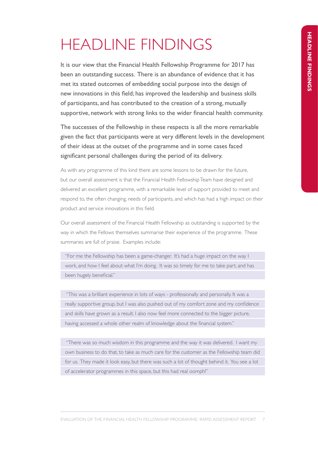# HEADLINE FINDINGS

It is our view that the Financial Health Fellowship Programme for 2017 has been an outstanding success. There is an abundance of evidence that it has met its stated outcomes of embedding social purpose into the design of new innovations in this field; has improved the leadership and business skills of participants, and has contributed to the creation of a strong, mutually supportive, network with strong links to the wider financial health community.

The successes of the Fellowship in these respects is all the more remarkable given the fact that participants were at very different levels in the development of their ideas at the outset of the programme and in some cases faced significant personal challenges during the period of its delivery.

As with any programme of this kind there are some lessons to be drawn for the future, but our overall assessment is that the Financial Health Fellowship Team have designed and delivered an excellent programme, with a remarkable level of support provided to meet and respond to, the often changing, needs of participants, and which has had a high impact on their product and service innovations in this field.

Our overall assessment of the Financial Health Fellowship as outstanding is supported by the way in which the Fellows themselves summarise their experience of the programme. These summaries are full of praise. Examples include:

"For me the Fellowship has been a game-changer. It's had a huge impact on the way I work, and how I feel about what I'm doing. It was so timely for me to take part, and has been hugely beneficial."

 "This was a brilliant experience in lots of ways - professionally and personally. It was a really supportive group, but I was also pushed out of my comfort zone and my confidence and skills have grown as a result. I also now feel more connected to the bigger picture, having accessed a whole other realm of knowledge about the financial system."

 "There was so much wisdom in this programme and the way it was delivered. I want my own business to do that, to take as much care for the customer as the Fellowship team did for us. They made it look easy, but there was such a lot of thought behind it. You see a lot of accelerator programmes in this space, but this had real oomph!"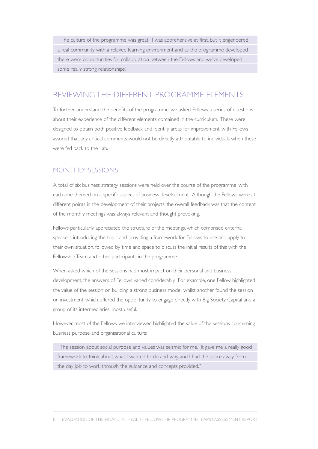"The culture of the programme was great. I was apprehensive at first, but it engendered a real community with a relaxed learning environment and as the programme developed there were opportunities for collaboration between the Fellows and we've developed some really strong relationships."

# REVIEWING THE DIFFERENT PROGRAMME ELEMENTS

To further understand the benefits of the programme, we asked Fellows a series of questions about their experience of the different elements contained in the curriculum. These were designed to obtain both positive feedback and identify areas for improvement, with Fellows assured that any critical comments would not be directly attributable to individuals when these were fed back to the Lab.

### MONTHLY SESSIONS

A total of six business strategy sessions were held over the course of the programme, with each one themed on a specific aspect of business development. Although the Fellows were at different points in the development of their projects, the overall feedback was that the content of the monthly meetings was always relevant and thought provoking.

Fellows particularly appreciated the structure of the meetings, which comprised external speakers introducing the topic and providing a framework for Fellows to use and apply to their own situation, followed by time and space to discuss the initial results of this with the Fellowship Team and other participants in the programme.

When asked which of the sessions had most impact on their personal and business development, the answers of Fellows varied considerably. For example, one Fellow highlighted the value of the session on building a strong business model, whilst another found the session on investment, which offered the opportunity to engage directly with Big Society Capital and a group of its intermediaries, most useful.

However, most of the Fellows we interviewed highlighted the value of the sessions concerning business purpose and organisational culture:

"The session about social purpose and values was seismic for me. It gave me a really good framework to think about what I wanted to do and why, and I had the space away from the day job to work through the guidance and concepts provided."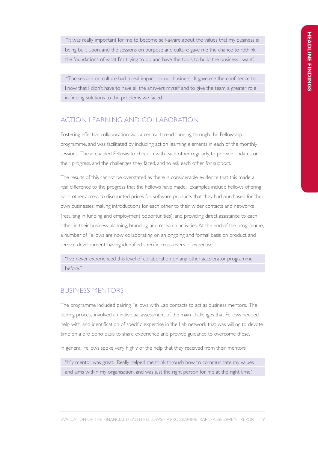"It was really important for me to become self-aware about the values that my business is being built upon, and the sessions on purpose and culture gave me the chance to rethink the foundations of what I'm trying to do and have the tools to build the business I want."

 "The session on culture had a real impact on our business. It gave me the confidence to know that I didn't have to have all the answers myself and to give the team a greater role in finding solutions to the problems we faced."

### ACTION LEARNING AND COLLABORATION

Fostering effective collaboration was a central thread running through the Fellowship programme, and was facilitated by including action learning elements in each of the monthly sessions. These enabled Fellows to check in with each other regularly, to provide updates on their progress, and the challenges they faced, and to ask each other for support.

The results of this cannot be overstated as there is considerable evidence that this made a real difference to the progress that the Fellows have made. Examples include Fellows offering each other access to discounted prices for software products that they had purchased for their own businesses; making introductions for each other to their wider contacts and networks (resulting in funding and employment opportunities); and providing direct assistance to each other in their business planning, branding, and research activities. At the end of the programme, a number of Fellows are now collaborating on an ongoing and formal basis on product and service development, having identified specific cross-overs of expertise.

"I've never experienced this level of collaboration on any other accelerator programme before."

# BUSINESS MENTORS

The programme included pairing Fellows with Lab contacts to act as business mentors. The pairing process involved an individual assessment of the main challenges that Fellows needed help with, and identification of specific expertise in the Lab network that was willing to devote time on a pro bono basis to share experience and provide guidance to overcome these.

In general, Fellows spoke very highly of the help that they received from their mentors:

"My mentor was great. Really helped me think through how to communicate my values and aims within my organisation, and was just the right person for me at the right time."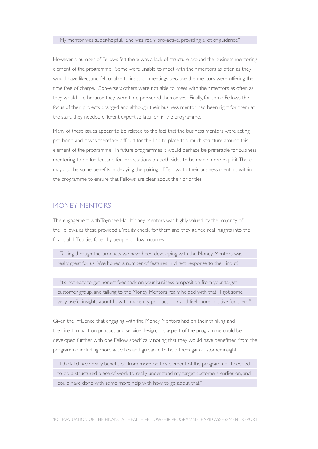#### "My mentor was super-helpful. She was really pro-active, providing a lot of guidance"

However, a number of Fellows felt there was a lack of structure around the business mentoring element of the programme. Some were unable to meet with their mentors as often as they would have liked, and felt unable to insist on meetings because the mentors were offering their time free of charge. Conversely, others were not able to meet with their mentors as often as they would like because they were time pressured themselves. Finally, for some Fellows the focus of their projects changed and although their business mentor had been right for them at the start, they needed different expertise later on in the programme.

Many of these issues appear to be related to the fact that the business mentors were acting pro bono and it was therefore difficult for the Lab to place too much structure around this element of the programme. In future programmes it would perhaps be preferable for business mentoring to be funded, and for expectations on both sides to be made more explicit. There may also be some benefits in delaying the pairing of Fellows to their business mentors within the programme to ensure that Fellows are clear about their priorities.

### MONEY MENTORS

The engagement with Toynbee Hall Money Mentors was highly valued by the majority of the Fellows, as these provided a 'reality check' for them and they gained real insights into the financial difficulties faced by people on low incomes.

"Talking through the products we have been developing with the Money Mentors was really great for us. We honed a number of features in direct response to their input."

 "It's not easy to get honest feedback on your business proposition from your target customer group, and talking to the Money Mentors really helped with that. I got some very useful insights about how to make my product look and feel more positive for them."

Given the influence that engaging with the Money Mentors had on their thinking and the direct impact on product and service design, this aspect of the programme could be developed further, with one Fellow specifically noting that they would have benefitted from the programme including more activities and guidance to help them gain customer insight:

"I think I'd have really benefitted from more on this element of the programme. I needed to do a structured piece of work to really understand my target customers earlier on, and could have done with some more help with how to go about that."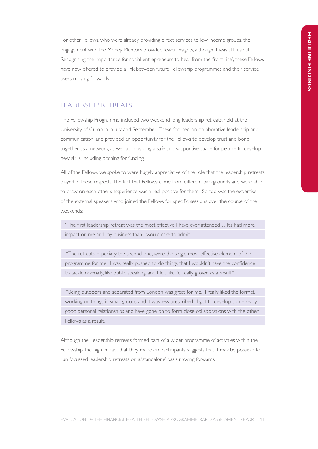For other Fellows, who were already providing direct services to low income groups, the engagement with the Money Mentors provided fewer insights, although it was still useful. Recognising the importance for social entrepreneurs to hear from the 'front-line', these Fellows have now offered to provide a link between future Fellowship programmes and their service users moving forwards.

### LEADERSHIP RETREATS

The Fellowship Programme included two weekend long leadership retreats, held at the University of Cumbria in July and September. These focused on collaborative leadership and communication, and provided an opportunity for the Fellows to develop trust and bond together as a network, as well as providing a safe and supportive space for people to develop new skills, including pitching for funding.

All of the Fellows we spoke to were hugely appreciative of the role that the leadership retreats played in these respects. The fact that Fellows came from different backgrounds and were able to draw on each other's experience was a real positive for them. So too was the expertise of the external speakers who joined the Fellows for specific sessions over the course of the weekends:

"The first leadership retreat was the most effective I have ever attended… It's had more impact on me and my business than I would care to admit."

 "The retreats, especially the second one, were the single most effective element of the programme for me. I was really pushed to do things that I wouldn't have the confidence to tackle normally, like public speaking, and I felt like I'd really grown as a result."

 "Being outdoors and separated from London was great for me. I really liked the format, working on things in small groups and it was less prescribed. I got to develop some really good personal relationships and have gone on to form close collaborations with the other Fellows as a result."

Although the Leadership retreats formed part of a wider programme of activities within the Fellowship, the high impact that they made on participants suggests that it may be possible to run focussed leadership retreats on a 'standalone' basis moving forwards.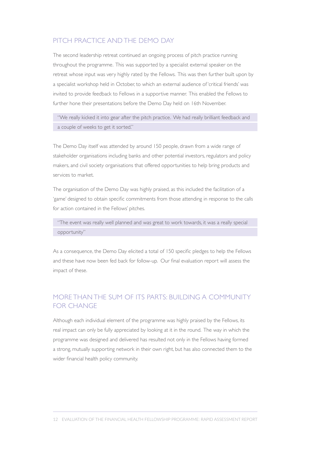### PITCH PRACTICE AND THE DEMO DAY

The second leadership retreat continued an ongoing process of pitch practice running throughout the programme. This was supported by a specialist external speaker on the retreat whose input was very highly rated by the Fellows. This was then further built upon by a specialist workshop held in October, to which an external audience of 'critical friends' was invited to provide feedback to Fellows in a supportive manner. This enabled the Fellows to further hone their presentations before the Demo Day held on 16th November.

"We really kicked it into gear after the pitch practice. We had really brilliant feedback and a couple of weeks to get it sorted."

The Demo Day itself was attended by around 150 people, drawn from a wide range of stakeholder organisations including banks and other potential investors, regulators and policy makers, and civil society organisations that offered opportunities to help bring products and services to market.

The organisation of the Demo Day was highly praised, as this included the facilitation of a 'game' designed to obtain specific commitments from those attending in response to the calls for action contained in the Fellows' pitches.

"The event was really well planned and was great to work towards, it was a really special opportunity"

As a consequence, the Demo Day elicited a total of 150 specific pledges to help the Fellows and these have now been fed back for follow-up. Our final evaluation report will assess the impact of these.

# MORE THAN THE SUM OF ITS PARTS: BUILDING A COMMUNITY FOR CHANGE

Although each individual element of the programme was highly praised by the Fellows, its real impact can only be fully appreciated by looking at it in the round. The way in which the programme was designed and delivered has resulted not only in the Fellows having formed a strong, mutually supporting network in their own right, but has also connected them to the wider financial health policy community.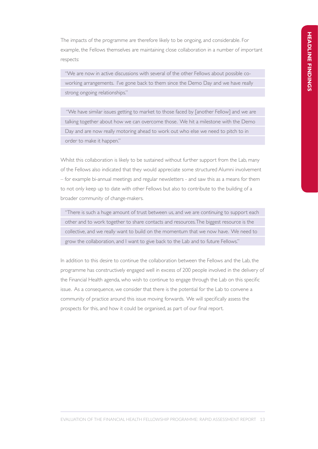The impacts of the programme are therefore likely to be ongoing, and considerable. For example, the Fellows themselves are maintaining close collaboration in a number of important respects:

"We are now in active discussions with several of the other Fellows about possible coworking arrangements. I've gone back to them since the Demo Day and we have really strong ongoing relationships."

 "We have similar issues getting to market to those faced by [another Fellow] and we are talking together about how we can overcome those. We hit a milestone with the Demo Day and are now really motoring ahead to work out who else we need to pitch to in order to make it happen."

Whilst this collaboration is likely to be sustained without further support from the Lab, many of the Fellows also indicated that they would appreciate some structured Alumni involvement – for example bi-annual meetings and regular newsletters - and saw this as a means for them to not only keep up to date with other Fellows but also to contribute to the building of a broader community of change-makers.

"There is such a huge amount of trust between us, and we are continuing to support each other and to work together to share contacts and resources. The biggest resource is the collective, and we really want to build on the momentum that we now have. We need to grow the collaboration, and I want to give back to the Lab and to future Fellows."

In addition to this desire to continue the collaboration between the Fellows and the Lab, the programme has constructively engaged well in excess of 200 people involved in the delivery of the Financial Health agenda, who wish to continue to engage through the Lab on this specific issue. As a consequence, we consider that there is the potential for the Lab to convene a community of practice around this issue moving forwards. We will specifically assess the prospects for this, and how it could be organised, as part of our final report.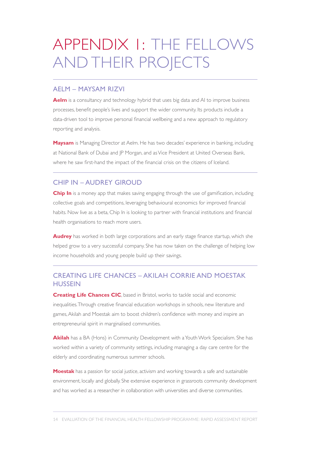# APPENDIX 1: THE FELLOWS AND THEIR PROJECTS

#### AELM – MAYSAM RIZVI

**Aelm** is a consultancy and technology hybrid that uses big data and AI to improve business processes, benefit people's lives and support the wider community. Its products include a data-driven tool to improve personal financial wellbeing and a new approach to regulatory reporting and analysis.

**Maysam** is Managing Director at Aelm. He has two decades' experience in banking, including at National Bank of Dubai and IP Morgan, and as Vice President at United Overseas Bank, where he saw first-hand the impact of the financial crisis on the citizens of Iceland.

### CHIP IN – AUDREY GIROUD

**Chip In** is a money app that makes saving engaging through the use of gamification, including collective goals and competitions, leveraging behavioural economics for improved financial habits. Now live as a beta, Chip In is looking to partner with financial institutions and financial health organisations to reach more users.

Audrey has worked in both large corporations and an early stage finance startup, which she helped grow to a very successful company. She has now taken on the challenge of helping low income households and young people build up their savings.

### CREATING LIFE CHANCES – AKILAH CORRIE AND MOESTAK **HUSSEIN**

**Creating Life Chances CIC**, based in Bristol, works to tackle social and economic inequalities. Through creative financial education workshops in schools, new literature and games, Akilah and Moestak aim to boost children's confidence with money and inspire an entrepreneurial spirit in marginalised communities.

**Akilah** has a BA (Hons) in Community Development with a Youth Work Specialism. She has worked within a variety of community settings, including managing a day care centre for the elderly and coordinating numerous summer schools.

**Moestak** has a passion for social justice, activism and working towards a safe and sustainable environment, locally and globally. She extensive experience in grassroots community development and has worked as a researcher in collaboration with universities and diverse communities.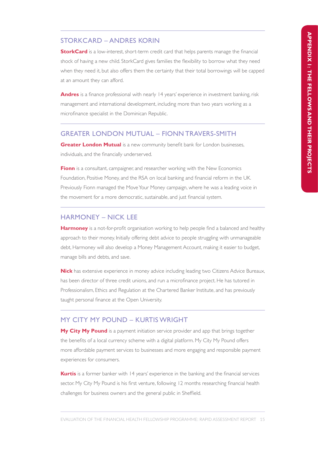#### STORKCARD – ANDRES KORIN

**StorkCard** is a low-interest, short-term credit card that helps parents manage the financial shock of having a new child. StorkCard gives families the flexibility to borrow what they need when they need it, but also offers them the certainty that their total borrowings will be capped at an amount they can afford.

Andres is a finance professional with nearly 14 years' experience in investment banking, risk management and international development, including more than two years working as a microfinance specialist in the Dominican Republic.

#### GREATER LONDON MUTUAL – FIONN TRAVERS-SMITH

**Greater London Mutual** is a new community benefit bank for London businesses, individuals, and the financially underserved.

**Fionn** is a consultant, campaigner, and researcher working with the New Economics Foundation, Positive Money, and the RSA on local banking and financial reform in the UK. Previously Fionn managed the Move Your Money campaign, where he was a leading voice in the movement for a more democratic, sustainable, and just financial system.

#### HARMONEY – NICK LEE

**Harmoney** is a not-for-profit organisation working to help people find a balanced and healthy approach to their money. Initially offering debt advice to people struggling with unmanageable debt, Harmoney will also develop a Money Management Account, making it easier to budget, manage bills and debts, and save.

**Nick** has extensive experience in money advice including leading two Citizens Advice Bureaux, has been director of three credit unions, and run a microfinance project. He has tutored in Professionalism, Ethics and Regulation at the Chartered Banker Institute, and has previously taught personal finance at the Open University.

### MY CITY MY POUND – KURTIS WRIGHT

**My City My Pound** is a payment initiation service provider and app that brings together the benefits of a local currency scheme with a digital platform. My City My Pound offers more affordable payment services to businesses and more engaging and responsible payment experiences for consumers.

**Kurtis** is a former banker with 14 years' experience in the banking and the financial services sector. My City My Pound is his first venture, following 12 months researching financial health challenges for business owners and the general public in Sheffield.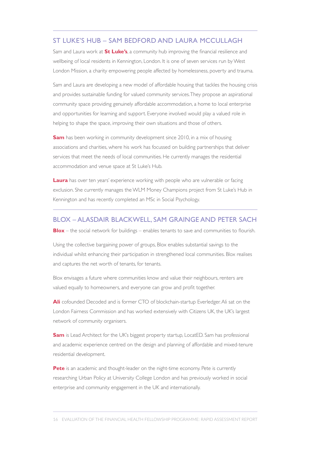#### ST LUKE'S HUB – SAM BEDFORD AND LAURA MCCULLAGH

Sam and Laura work at **St Luke's**, a community hub improving the financial resilience and wellbeing of local residents in Kennington, London. It is one of seven services run by West London Mission, a charity empowering people affected by homelessness, poverty and trauma.

Sam and Laura are developing a new model of affordable housing that tackles the housing crisis and provides sustainable funding for valued community services. They propose an aspirational community space providing genuinely affordable accommodation, a home to local enterprise and opportunities for learning and support. Everyone involved would play a valued role in helping to shape the space, improving their own situations and those of others.

**Sam** has been working in community development since 2010, in a mix of housing associations and charities, where his work has focussed on building partnerships that deliver services that meet the needs of local communities. He currently manages the residential accommodation and venue space at St Luke's Hub.

**Laura** has over ten years' experience working with people who are vulnerable or facing exclusion. She currently manages the WLM Money Champions project from St Luke's Hub in Kennington and has recently completed an MSc in Social Psychology.

#### BLOX – ALASDAIR BLACKWELL, SAM GRAINGE AND PETER SACH

**Blox** – the social network for buildings – enables tenants to save and communities to flourish.

Using the collective bargaining power of groups, Blox enables substantial savings to the individual whilst enhancing their participation in strengthened local communities. Blox realises and captures the net worth of tenants, for tenants.

Blox envisages a future where communities know and value their neighbours, renters are valued equally to homeowners, and everyone can grow and profit together.

**Ali** cofounded Decoded and is former CTO of blockchain-startup Everledger. Ali sat on the London Fairness Commission and has worked extensively with Citizens UK, the UK's largest network of community organisers.

**Sam** is Lead Architect for the UK's biggest property startup, LocatED. Sam has professional and academic experience centred on the design and planning of affordable and mixed-tenure residential development.

**Pete** is an academic and thought-leader on the night-time economy. Pete is currently researching Urban Policy at University College London and has previously worked in social enterprise and community engagement in the UK and internationally.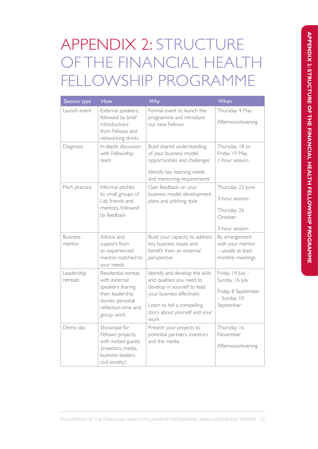# APPENDIX 2: STRUCTURE OF THE FINANCIAL HEALTH FELLOWSHIP PROGRAMME

| Session type              | How                                                                                                                                     | Why                                                                                                                                                                                             | When                                                                                 |
|---------------------------|-----------------------------------------------------------------------------------------------------------------------------------------|-------------------------------------------------------------------------------------------------------------------------------------------------------------------------------------------------|--------------------------------------------------------------------------------------|
| Launch event              | External speakers,<br>followed by brief<br>introductions<br>from Fellows and<br>networking drinks                                       | Formal event to launch the<br>programme and introduce<br>our new Fellows                                                                                                                        | Thursday 4 May<br>Afternoon/evening                                                  |
| Diagnosis                 | In-depth discussion<br>with Fellowship<br>team                                                                                          | Build shared understanding<br>of your business model,<br>opportunities and challenges<br>Identify key learning needs<br>and mentoring requirements                                              | Thursday 18 or<br>Friday 19 May<br>I-hour session                                    |
| Pitch practice            | Informal pitches<br>to small groups of<br>Lab friends and<br>mentors, followed<br>by feedback                                           | Gain feedback on your<br>business model, development<br>plans and pitching style                                                                                                                | Thursday 22 June<br>3-hour session<br>Thursday 26<br>October<br>3-hour session       |
| <b>Business</b><br>mentor | Advice and<br>support from<br>an experienced<br>mentor, matched to<br>your needs                                                        | Build your capacity to address<br>key business issues and<br>benefit from an external<br>perspective                                                                                            | By arrangement<br>with your mentor<br>- usually at least<br>monthly meetings         |
| Leadership<br>retreats    | Residential retreat,<br>with external<br>speakers sharing<br>their leadership<br>stories, personal<br>reflection time and<br>group work | Identify and develop the skills<br>and qualities you need to<br>develop in yourself to lead<br>your business effectively<br>Learn to tell a compelling<br>story about yourself and your<br>work | Friday 14 July -<br>Sunday 16 July<br>Friday 8 September<br>- Sunday 10<br>September |
| Demo day                  | Showcase for<br>Fellows' projects,<br>with invited guests<br>(investors, media,<br>business leaders.<br>civil society)                  | Present your projects to<br>potential partners, investors<br>and the media                                                                                                                      | Thursday 16<br>November<br>Afternoon/evening                                         |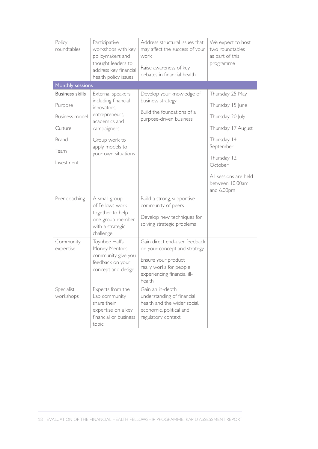| Policy<br>roundtables                                                                                | Participative<br>workshops with key<br>policymakers and<br>thought leaders to<br>address key financial<br>health policy issues                                       | Address structural issues that<br>may affect the success of your<br>work<br>Raise awareness of key<br>debates in financial health                        | We expect to host<br>two roundtables<br>as part of this<br>programme                                                                                                            |
|------------------------------------------------------------------------------------------------------|----------------------------------------------------------------------------------------------------------------------------------------------------------------------|----------------------------------------------------------------------------------------------------------------------------------------------------------|---------------------------------------------------------------------------------------------------------------------------------------------------------------------------------|
| Monthly sessions                                                                                     |                                                                                                                                                                      |                                                                                                                                                          |                                                                                                                                                                                 |
| <b>Business skills</b><br>Purpose<br><b>Business model</b><br>Culture<br>Brand<br>Team<br>Investment | External speakers<br>including financial<br>innovators.<br>entrepreneurs,<br>academics and<br>campaigners<br>Group work to<br>apply models to<br>your own situations | Develop your knowledge of<br>business strategy<br>Build the foundations of a<br>purpose-driven business                                                  | Thursday 25 May<br>Thursday 15 June<br>Thursday 20 July<br>Thursday 17 August<br>Thursday 14<br>September<br>Thursday 12<br>October<br>All sessions are held<br>between 10.00am |
| Peer coaching                                                                                        | A small group<br>of Fellows work<br>together to help<br>one group member<br>with a strategic<br>challenge                                                            | Build a strong, supportive<br>community of peers<br>Develop new techniques for<br>solving strategic problems                                             | and 6.00pm                                                                                                                                                                      |
| Community<br>expertise                                                                               | Toynbee Hall's<br>Money Mentors<br>community give you<br>feedback on your<br>concept and design                                                                      | Gain direct end-user feedback<br>on your concept and strategy<br>Ensure your product<br>really works for people<br>experiencing financial ill-<br>health |                                                                                                                                                                                 |
| Specialist<br>workshops                                                                              | Experts from the<br>Lab community<br>share their<br>expertise on a key<br>financial or business<br>topic                                                             | Gain an in-depth<br>understanding of financial<br>health and the wider social,<br>economic, political and<br>regulatory context                          |                                                                                                                                                                                 |